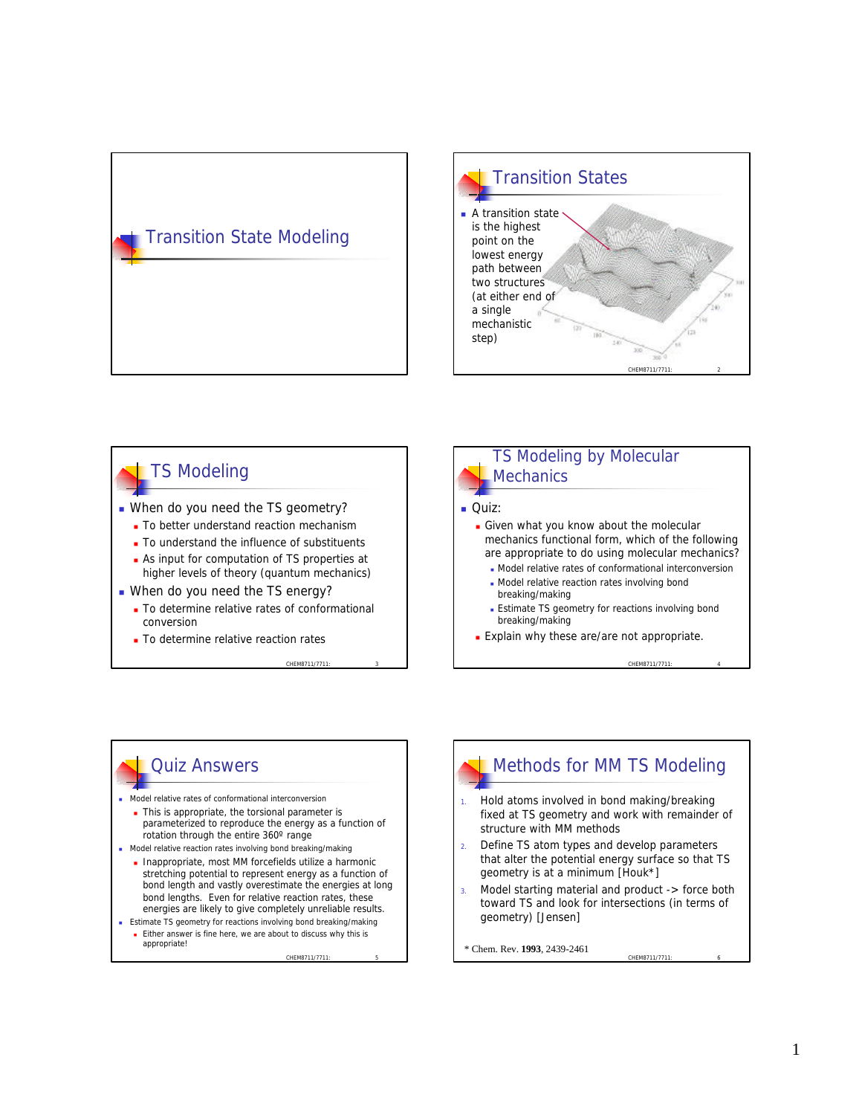# Transition State Modeling



## TS Modeling

- When do you need the TS geometry?
	- **n** To better understand reaction mechanism
	- To understand the influence of substituents
	- **As input for computation of TS properties at** higher levels of theory (quantum mechanics)
- When do you need the TS energy?
	- To determine relative rates of conformational conversion
	- **n** To determine relative reaction rates

CHEM8711/7711: 3



## Quiz Answers

- <sup>n</sup> Model relative rates of conformational interconversion
	- n This is appropriate, the torsional parameter is parameterized to reproduce the energy as a function of rotation through the entire 360º range
- n Model relative reaction rates involving bond breaking/making
	- <sup>n</sup> Inappropriate, most MM forcefields utilize a harmonic stretching potential to represent energy as a function of bond length and vastly overestimate the energies at long bond lengths. Even for relative reaction rates, these energies are likely to give completely unreliable results.

CHEM8711/7711

**Estimate TS geometry for reactions involving bond breaking/making** ■ Either answer is fine here, we are about to discuss why this is appropriate!

## Methods for MM TS Modeling

- 1. Hold atoms involved in bond making/breaking fixed at TS geometry and work with remainder of structure with MM methods
- 2. Define TS atom types and develop parameters that alter the potential energy surface so that TS geometry is at a minimum [Houk\*]
- Model starting material and product -> force both toward TS and look for intersections (in terms of geometry) [Jensen]

CHEM8711/7711: 6

\* Chem. Rev. **1993**, 2439-2461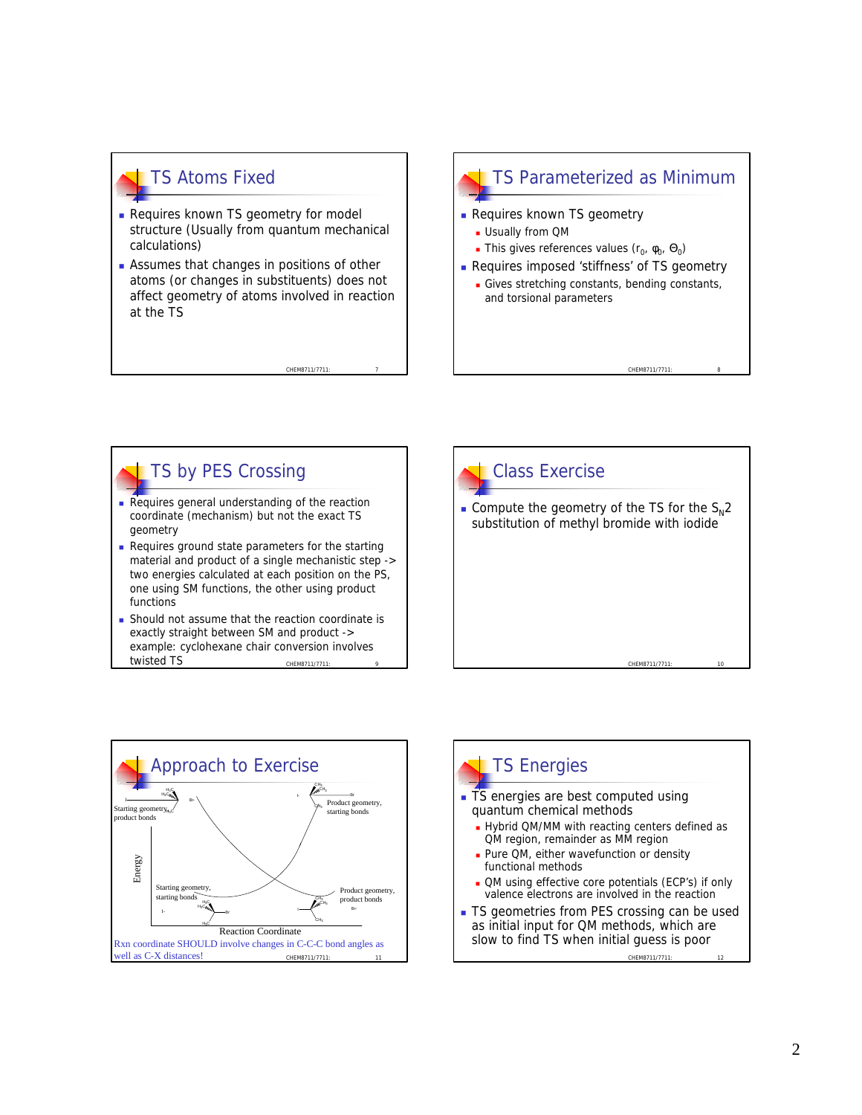## TS Atoms Fixed

- **Requires known TS geometry for model** structure (Usually from quantum mechanical calculations)
- **Assumes that changes in positions of other** atoms (or changes in substituents) does not affect geometry of atoms involved in reaction at the TS

CHEM8711/7711

CHEM8711/7711: 9

#### TS Parameterized as Minimum

- **Requires known TS geometry** 
	- **D** Usually from QM
	- **This gives references values (r<sub>0</sub>,**  $\phi$ **<sub>0</sub>,**  $\Theta$ **<sub>0</sub>)**
- **Requires imposed 'stiffness' of TS geometry** 
	- $\blacksquare$  Gives stretching constants, bending constants, and torsional parameters

CHEM8711/7711